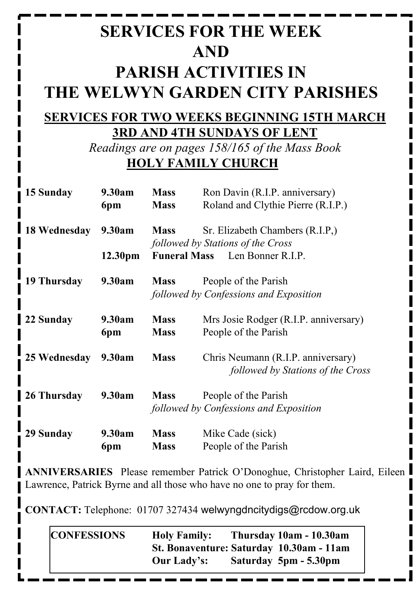# **SERVICES FOR THE WEEK AND PARISH ACTIVITIES IN THE WELWYN GARDEN CITY PARISHES**

#### **SERVICES FOR TWO WEEKS BEGINNING 15TH MARCH 3RD AND 4TH SUNDAYS OF LENT**

*Readings are on pages 158/165 of the Mass Book* **HOLY FAMILY CHURCH**

| 15 Sunday    | 9.30am        | <b>Mass</b>                           | Ron Davin (R.I.P. anniversary)                                          |  |
|--------------|---------------|---------------------------------------|-------------------------------------------------------------------------|--|
|              | 6pm           | <b>Mass</b>                           | Roland and Clythie Pierre (R.I.P.)                                      |  |
| 18 Wednesday | 9.30am        | <b>Mass</b>                           | Sr. Elizabeth Chambers (R.I.P.)<br>followed by Stations of the Cross    |  |
|              | 12.30pm       | <b>Funeral Mass</b> Len Bonner R.I.P. |                                                                         |  |
| 19 Thursday  | 9.30am        | <b>Mass</b>                           | People of the Parish<br>followed by Confessions and Exposition          |  |
| 22 Sunday    | 9.30am<br>6pm | <b>Mass</b><br><b>Mass</b>            | Mrs Josie Rodger (R.I.P. anniversary)<br>People of the Parish           |  |
| 25 Wednesday | 9.30am        | <b>Mass</b>                           | Chris Neumann (R.I.P. anniversary)<br>followed by Stations of the Cross |  |
| 26 Thursday  | 9.30am        | <b>Mass</b>                           | People of the Parish<br>followed by Confessions and Exposition          |  |
| 29 Sunday    | 9.30am<br>6pm | <b>Mass</b><br><b>Mass</b>            | Mike Cade (sick)<br>People of the Parish                                |  |

**ANNIVERSARIES** Please remember Patrick O'Donoghue, Christopher Laird, Eileen Lawrence, Patrick Byrne and all those who have no one to pray for them.

**CONTACT:** Telephone: 01707 327434 welwyngdncitydigs@rcdow.org.uk

| <b>CONFESSIONS</b> | <b>Holy Family:</b>                      | Thursday 10am - 10.30am |
|--------------------|------------------------------------------|-------------------------|
|                    | St. Bonaventure: Saturday 10.30am - 11am |                         |
|                    | <b>Our Lady's:</b>                       | Saturday 5pm - 5.30pm   |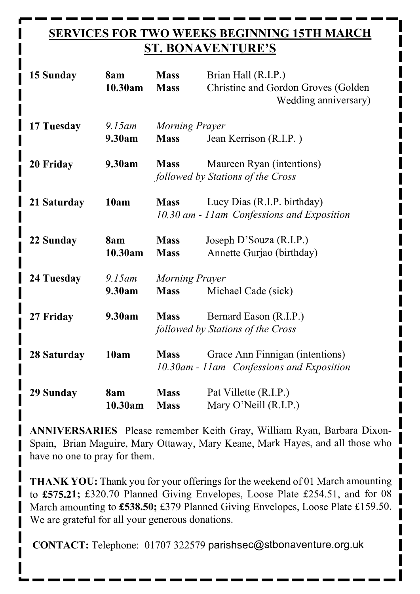### **SERVICES FOR TWO WEEKS BEGINNING 15TH MARCH ST. BONAVENTURE'S**

| 15 Sunday   | 8am<br>10.30am      | <b>Mass</b><br><b>Mass</b>           | Brian Hall (R.I.P.)<br><b>Christine and Gordon Groves (Golden)</b><br>Wedding anniversary) |
|-------------|---------------------|--------------------------------------|--------------------------------------------------------------------------------------------|
| 17 Tuesday  | $9.15$ am<br>9.30am | <b>Morning Prayer</b><br><b>Mass</b> | Jean Kerrison (R.I.P.)                                                                     |
| 20 Friday   | 9.30am              | <b>Mass</b>                          | Maureen Ryan (intentions)<br>followed by Stations of the Cross                             |
| 21 Saturday | 10am                | <b>Mass</b>                          | Lucy Dias (R.I.P. birthday)<br>10.30 am - 11 am Confessions and Exposition                 |
| 22 Sunday   | 8am<br>10.30am      | <b>Mass</b><br><b>Mass</b>           | Joseph D'Souza (R.I.P.)<br>Annette Gurjao (birthday)                                       |
| 24 Tuesday  | $9.15$ am<br>9.30am | <b>Morning Prayer</b><br><b>Mass</b> | Michael Cade (sick)                                                                        |
| 27 Friday   | 9.30am              | <b>Mass</b>                          | Bernard Eason (R.I.P.)<br>followed by Stations of the Cross                                |
| 28 Saturday | 10am                | <b>Mass</b>                          | Grace Ann Finnigan (intentions)<br>10.30am - 11am Confessions and Exposition               |
| 29 Sunday   | 8am<br>10.30am      | <b>Mass</b><br><b>Mass</b>           | Pat Villette (R.I.P.)<br>Mary O'Neill (R.I.P.)                                             |

**ANNIVERSARIES** Please remember Keith Gray, William Ryan, Barbara Dixon-Spain, Brian Maguire, Mary Ottaway, Mary Keane, Mark Hayes, and all those who have no one to pray for them.

**THANK YOU:** Thank you for your offerings for the weekend of 01 March amounting to **£575.21;** £320.70 Planned Giving Envelopes, Loose Plate £254.51, and for 08 March amounting to **£538.50;** £379 Planned Giving Envelopes, Loose Plate £159.50. We are grateful for all your generous donations.

**CONTACT:** Telephone: 01707 322579 parishsec@stbonaventure.org.uk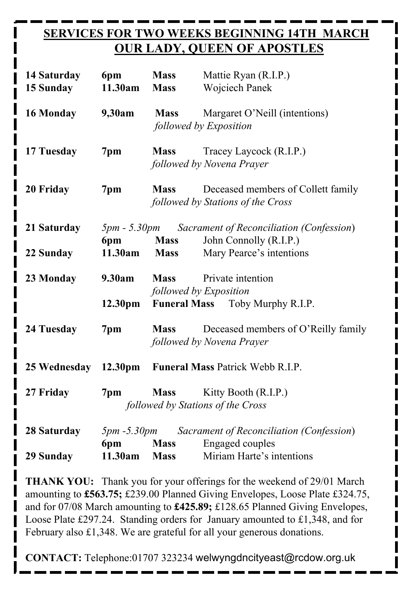## **SERVICES FOR TWO WEEKS BEGINNING 14TH MARCH OUR LADY, QUEEN OF APOSTLES**

| 14 Saturday<br><b>15 Sunday</b> | 6pm<br>11.30am            | <b>Mass</b><br><b>Mass</b>              | Mattie Ryan (R.I.P.)<br><b>Wojciech Panek</b>                           |  |
|---------------------------------|---------------------------|-----------------------------------------|-------------------------------------------------------------------------|--|
| 16 Monday                       | 9,30am                    | <b>Mass</b>                             | Margaret O'Neill (intentions)<br>followed by Exposition                 |  |
| 17 Tuesday                      | 7pm                       | <b>Mass</b>                             | Tracey Laycock (R.I.P.)<br>followed by Novena Prayer                    |  |
| 20 Friday                       | 7pm                       | <b>Mass</b>                             | Deceased members of Collett family<br>followed by Stations of the Cross |  |
| 21 Saturday                     |                           |                                         | <i>Spm</i> - 5.30pm Sacrament of Reconciliation (Confession)            |  |
|                                 | 6pm                       | <b>Mass</b>                             | John Connolly (R.I.P.)                                                  |  |
| 22 Sunday                       | 11.30am                   | <b>Mass</b>                             | Mary Pearce's intentions                                                |  |
| 23 Monday                       | 9.30am                    |                                         | <b>Mass</b> Private intention<br>followed by Exposition                 |  |
|                                 | 12.30 <sub>pm</sub>       |                                         | <b>Funeral Mass</b> Toby Murphy R.I.P.                                  |  |
| 24 Tuesday                      | 7pm                       | <b>Mass</b>                             | Deceased members of O'Reilly family<br>followed by Novena Prayer        |  |
| 25 Wednesday 12.30pm            |                           | <b>Funeral Mass Patrick Webb R.I.P.</b> |                                                                         |  |
| 27 Friday                       | 7pm                       | <b>Mass</b>                             | Kitty Booth (R.I.P.)                                                    |  |
|                                 |                           |                                         | followed by Stations of the Cross                                       |  |
|                                 |                           |                                         |                                                                         |  |
| 28 Saturday                     | <i>5pm -5.30pm</i><br>6pm | <b>Mass</b>                             | Sacrament of Reconciliation (Confession)<br>Engaged couples             |  |
| 29 Sunday                       | 11.30am                   | <b>Mass</b>                             | Miriam Harte's intentions                                               |  |
|                                 |                           |                                         |                                                                         |  |

**THANK YOU:** Thank you for your offerings for the weekend of 29/01 March amounting to **£563.75;** £239.00 Planned Giving Envelopes, Loose Plate £324.75, and for 07/08 March amounting to **£425.89;** £128.65 Planned Giving Envelopes, Loose Plate £297.24. Standing orders for January amounted to £1,348, and for February also £1,348. We are grateful for all your generous donations.

**CONTACT:** Telephone:01707 323234 welwyngdncityeast@rcdow.org.uk